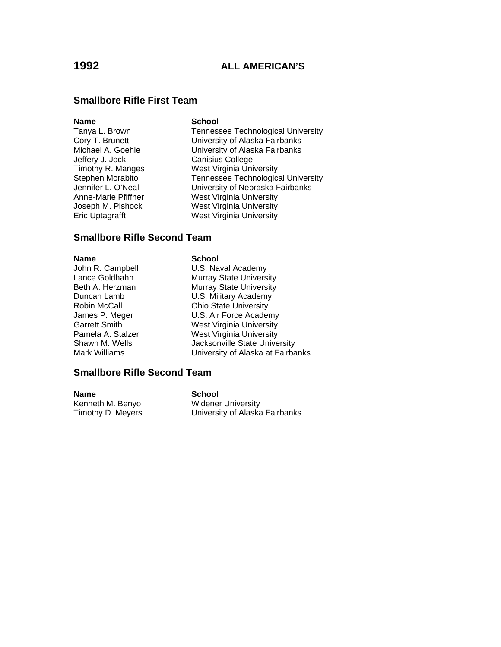### **Smallbore Rifle First Team**

### **Name** School

- Jeffery J. Jock Canisius College Eric Uptagrafft West Virginia University
- Tanya L. Brown Tennessee Technological University Cory T. Brunetti **Cory T. Brunetti** University of Alaska Fairbanks<br>Michael A. Goehle **Michael A. Correstive University of Alaska Fairbanks** University of Alaska Fairbanks Timothy R. Manges West Virginia University Stephen Morabito Tennessee Technological University Jennifer L. O'Neal University of Nebraska Fairbanks Anne-Marie Pfiffner West Virginia University Joseph M. Pishock West Virginia University

### **Smallbore Rifle Second Team**

### **Name** School

John R. Campbell **U.S. Naval Academy** Lance Goldhahn Murray State University Beth A. Herzman Murray State University Duncan Lamb U.S. Military Academy Robin McCall **Ohio State University** James P. Meger U.S. Air Force Academy Garrett Smith West Virginia University Pamela A. Stalzer West Virginia University Shawn M. Wells **Jacksonville State University** Mark Williams University of Alaska at Fairbanks

### **Smallbore Rifle Second Team**

| Name              | School                         |
|-------------------|--------------------------------|
| Kenneth M. Benyo  | Widener University             |
| Timothy D. Meyers | University of Alaska Fairbanks |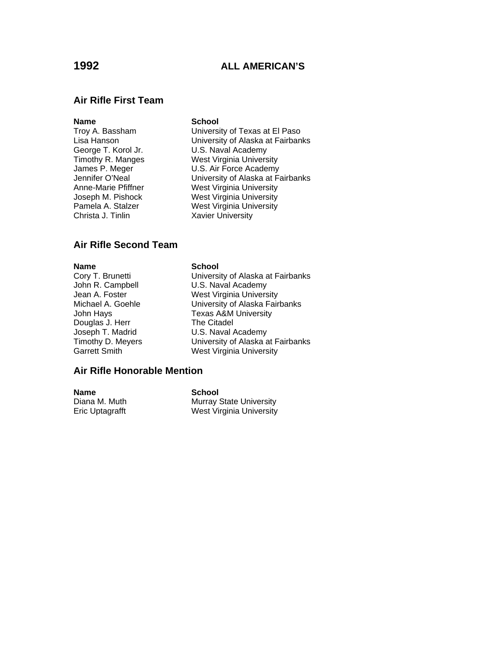# **1992 ALL AMERICAN'S**

### **Air Rifle First Team**

### **Name** School

Christa J. Tinlin Xavier University

Troy A. Bassham University of Texas at El Paso Lisa Hanson University of Alaska at Fairbanks<br>George T. Korol Jr. C. B. Naval Academy U.S. Naval Academy Timothy R. Manges West Virginia University James P. Meger **U.S. Air Force Academy**<br>Jennifer O'Neal **University of Alaska at Fall** University of Alaska at Fairbanks Anne-Marie Pfiffner West Virginia University Joseph M. Pishock West Virginia University<br>
Pamela A. Stalzer West Virginia University West Virginia University

### **Air Rifle Second Team**

**Name**<br>
Cory T. Brunetti<br>
Cory T. Brunetti Douglas J. Herr The Citadel

Cory T. Brunetti University of Alaska at Fairbanks U.S. Naval Academy Jean A. Foster **West Virginia University** Michael A. Goehle **University of Alaska Fairbanks** John Hays Texas A&M University Joseph T. Madrid U.S. Naval Academy<br>Timothy D. Meyers University of Alaska a Timothy D. Meyers<br>
Garrett Smith 
University of Alaska at Fairbanks<br>
University
University
University West Virginia University

### **Air Rifle Honorable Mention**

**Name School**<br>Diana M. Muth **School**<br>Murray S

**Murray State University** Eric Uptagrafft West Virginia University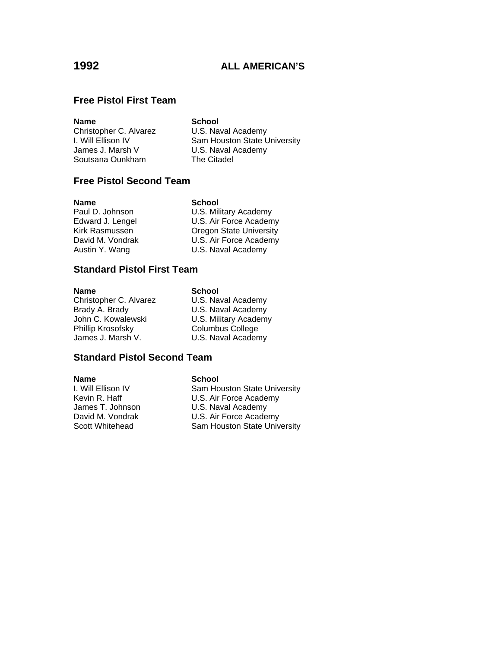# **Free Pistol First Team**

| <b>Name</b>            | <b>School</b>                |
|------------------------|------------------------------|
| Christopher C. Alvarez | U.S. Naval Academy           |
| I. Will Ellison IV     | Sam Houston State University |
| James J. Marsh V       | U.S. Naval Academy           |
| Soutsana Ounkham       | The Citadel                  |
|                        |                              |

# **Free Pistol Second Team**

| Name             | <b>School</b>                  |
|------------------|--------------------------------|
| Paul D. Johnson  | U.S. Military Academy          |
| Edward J. Lengel | U.S. Air Force Academy         |
| Kirk Rasmussen   | <b>Oregon State University</b> |
| David M. Vondrak | U.S. Air Force Academy         |
| Austin Y. Wang   | U.S. Naval Academy             |

# **Standard Pistol First Team**

| Name                   | <b>School</b>           |
|------------------------|-------------------------|
| Christopher C. Alvarez | U.S. Naval Academy      |
| Brady A. Brady         | U.S. Naval Academy      |
| John C. Kowalewski     | U.S. Military Academy   |
| Phillip Krosofsky      | <b>Columbus College</b> |
| James J. Marsh V.      | U.S. Naval Academy      |

### **Standard Pistol Second Team**

**Name**<br> **I.** Will Ellison IV **Sam Horne** 

I. Will Ellison IV<br>
Kevin R. Haff U.S. Air Force Academy Kevin R. Haff **U.S. Air Force Academy**<br>
James T. Johnson **U.S. Naval Academy** James T. Johnson U.S. Naval Academy David M. Vondrak **U.S. Air Force Academy** Scott Whitehead Sam Houston State University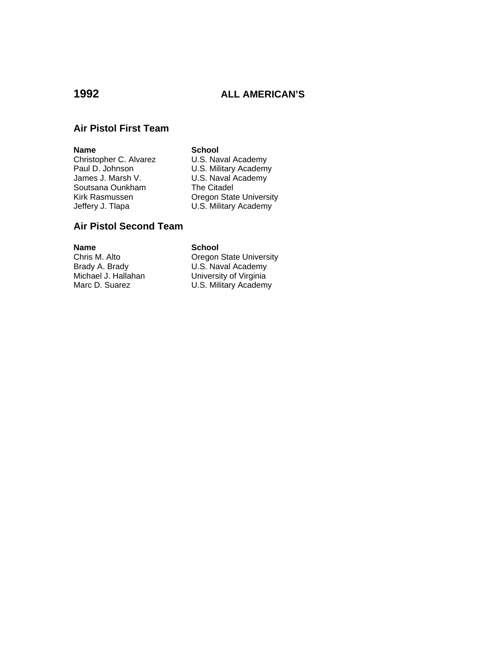# **1992 ALL AMERICAN'S**

## **Air Pistol First Team**

### **Name** School

Soutsana Ounkham The Citadel

Christopher C. Alvarez U.S. Naval Academy<br>Paul D. Johnson U.S. Military Academy Paul D. Johnson U.S. Military Academy<br>James J. Marsh V. U.S. Naval Academy U.S. Naval Academy Kirk Rasmussen **Communist Communist Communist Communist Communist Communist Communist Communist Communist Communist Communist Communist Communist Communist Communist Communist Communist Communist Communist Communist Commun** U.S. Military Academy

# **Air Pistol Second Team**

**Name School**<br>
Chris M. Alto **School** 

**Oregon State University** Brady A. Brady **Call Academy**<br>Michael J. Hallahan **Call University of Virginia** Michael J. Hallahan **University of Virginia**<br>Marc D. Suarez **U.S. Military Academy** U.S. Military Academy